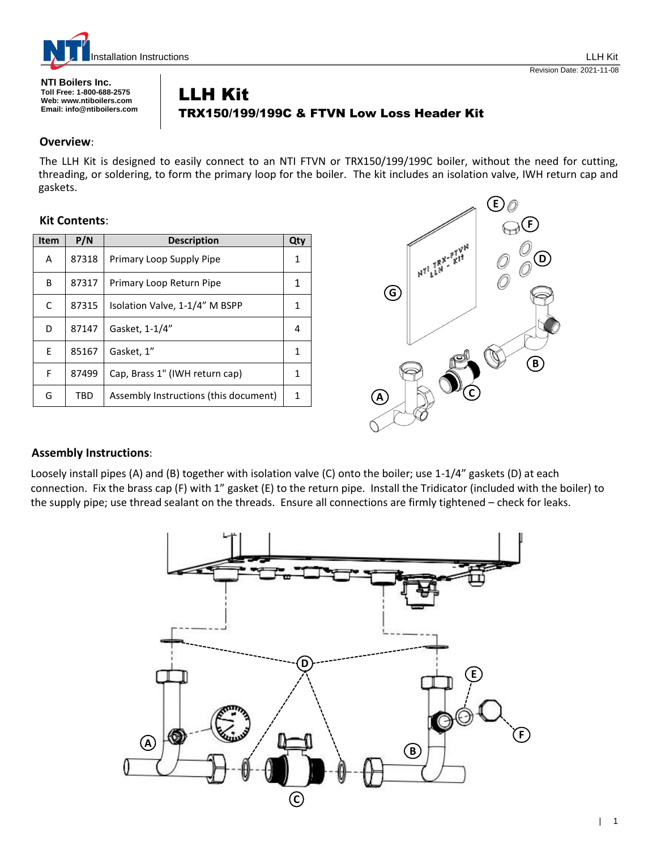

**NTI Boilers Inc. Toll Free: 1-800-688-2575 Web: www.ntiboilers.com Email: info@ntiboilers.com**

# Revision Date: 2021-11-08

# LLH Kit TRX150/199/199C & FTVN Low Loss Header Kit

#### **Overview**:

The LLH Kit is designed to easily connect to an NTI FTVN or TRX150/199/199C boiler, without the need for cutting, threading, or soldering, to form the primary loop for the boiler. The kit includes an isolation valve, IWH return cap and gaskets.

### **Kit Contents**:

| <b>Item</b> | P/N   | <b>Description</b>                    | Qty |
|-------------|-------|---------------------------------------|-----|
| A           | 87318 | Primary Loop Supply Pipe              | 1   |
| B           | 87317 | Primary Loop Return Pipe              | 1   |
| C           | 87315 | Isolation Valve, 1-1/4" M BSPP        | 1   |
| D           | 87147 | Gasket, 1-1/4"                        | 4   |
| E           | 85167 | Gasket, 1"                            | 1   |
| F           | 87499 | Cap, Brass 1" (IWH return cap)        | 1   |
| G           | TBD   | Assembly Instructions (this document) | 1   |



## **Assembly Instructions**:

Loosely install pipes (A) and (B) together with isolation valve (C) onto the boiler; use 1-1/4" gaskets (D) at each connection. Fix the brass cap (F) with 1" gasket (E) to the return pipe. Install the Tridicator (included with the boiler) to the supply pipe; use thread sealant on the threads. Ensure all connections are firmly tightened – check for leaks.